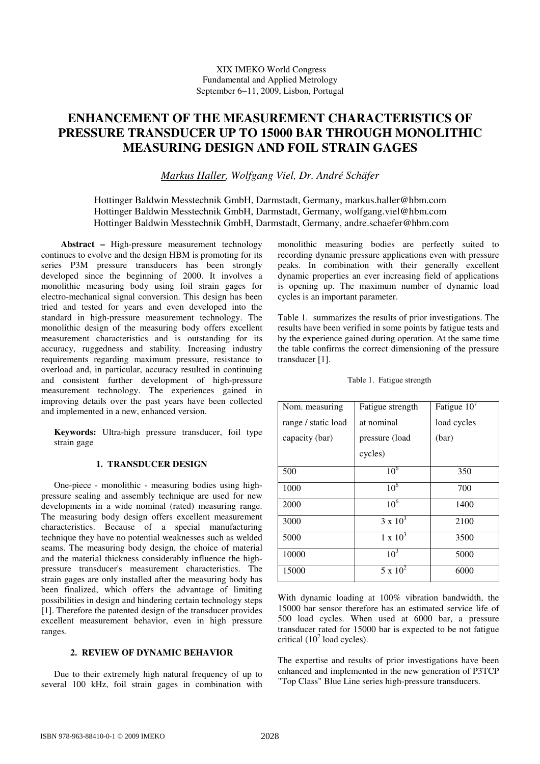# **ENHANCEMENT OF THE MEASUREMENT CHARACTERISTICS OF PRESSURE TRANSDUCER UP TO 15000 BAR THROUGH MONOLITHIC MEASURING DESIGN AND FOIL STRAIN GAGES**

*Markus Haller, Wolfgang Viel, Dr. André Schäfer* 

Hottinger Baldwin Messtechnik GmbH, Darmstadt, Germany, markus.haller@hbm.com Hottinger Baldwin Messtechnik GmbH, Darmstadt, Germany, wolfgang.viel@hbm.com Hottinger Baldwin Messtechnik GmbH, Darmstadt, Germany, andre.schaefer@hbm.com

 **Abstract –** High-pressure measurement technology continues to evolve and the design HBM is promoting for its series P3M pressure transducers has been strongly developed since the beginning of 2000. It involves a monolithic measuring body using foil strain gages for electro-mechanical signal conversion. This design has been tried and tested for years and even developed into the standard in high-pressure measurement technology. The monolithic design of the measuring body offers excellent measurement characteristics and is outstanding for its accuracy, ruggedness and stability. Increasing industry requirements regarding maximum pressure, resistance to overload and, in particular, accuracy resulted in continuing and consistent further development of high-pressure measurement technology. The experiences gained in improving details over the past years have been collected and implemented in a new, enhanced version.

**Keywords:** Ultra-high pressure transducer, foil type strain gage

## **1. TRANSDUCER DESIGN**

One-piece - monolithic - measuring bodies using highpressure sealing and assembly technique are used for new developments in a wide nominal (rated) measuring range. The measuring body design offers excellent measurement characteristics. Because of a special manufacturing technique they have no potential weaknesses such as welded seams. The measuring body design, the choice of material and the material thickness considerably influence the highpressure transducer's measurement characteristics. The strain gages are only installed after the measuring body has been finalized, which offers the advantage of limiting possibilities in design and hindering certain technology steps [1]. Therefore the patented design of the transducer provides excellent measurement behavior, even in high pressure ranges.

### **2. REVIEW OF DYNAMIC BEHAVIOR**

Due to their extremely high natural frequency of up to several 100 kHz, foil strain gages in combination with monolithic measuring bodies are perfectly suited to recording dynamic pressure applications even with pressure peaks. In combination with their generally excellent dynamic properties an ever increasing field of applications is opening up. The maximum number of dynamic load cycles is an important parameter.

Table 1. summarizes the results of prior investigations. The results have been verified in some points by fatigue tests and by the experience gained during operation. At the same time the table confirms the correct dimensioning of the pressure transducer [1].

Table 1. Fatigue strength

| Nom. measuring      | Fatigue strength | Fatigue $10^7$ |
|---------------------|------------------|----------------|
| range / static load | at nominal       | load cycles    |
| capacity (bar)      | pressure (load   | (bar)          |
|                     | cycles)          |                |
| 500                 | 10 <sup>6</sup>  | 350            |
| 1000                | $10^{6}$         | 700            |
| 2000                | $10^{6}$         | 1400           |
| 3000                | $3 \times 10^3$  | 2100           |
| 5000                | $1 \times 10^3$  | 3500           |
| 10000               | $10^{3}$         | 5000           |
| 15000               | $5 \times 10^2$  | 6000           |

With dynamic loading at 100% vibration bandwidth, the 15000 bar sensor therefore has an estimated service life of 500 load cycles. When used at 6000 bar, a pressure transducer rated for 15000 bar is expected to be not fatigue critical  $(10^7 \text{ load cycles}).$ 

The expertise and results of prior investigations have been enhanced and implemented in the new generation of P3TCP "Top Class" Blue Line series high-pressure transducers.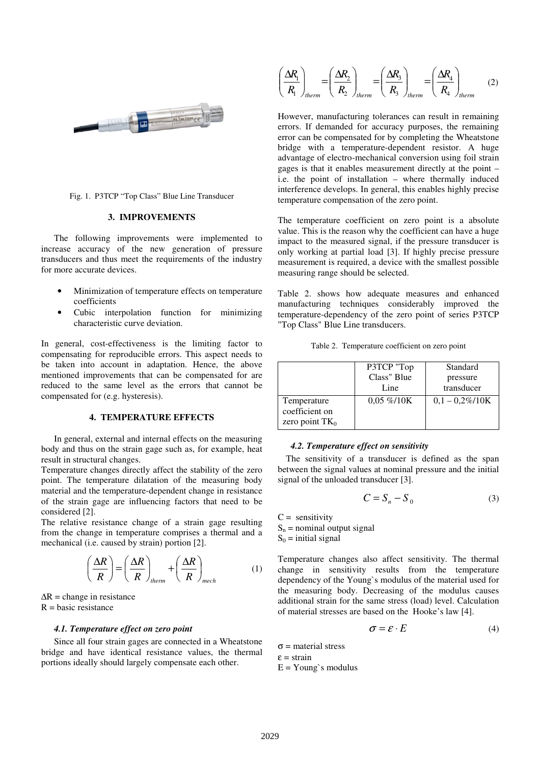

### Fig. 1. P3TCP "Top Class" Blue Line Transducer

### **3. IMPROVEMENTS**

The following improvements were implemented to increase accuracy of the new generation of pressure transducers and thus meet the requirements of the industry for more accurate devices.

- Minimization of temperature effects on temperature coefficients
- Cubic interpolation function for minimizing characteristic curve deviation.

In general, cost-effectiveness is the limiting factor to compensating for reproducible errors. This aspect needs to be taken into account in adaptation. Hence, the above mentioned improvements that can be compensated for are reduced to the same level as the errors that cannot be compensated for (e.g. hysteresis).

#### **4. TEMPERATURE EFFECTS**

In general, external and internal effects on the measuring body and thus on the strain gage such as, for example, heat result in structural changes.

Temperature changes directly affect the stability of the zero point. The temperature dilatation of the measuring body material and the temperature-dependent change in resistance of the strain gage are influencing factors that need to be considered [2].

The relative resistance change of a strain gage resulting from the change in temperature comprises a thermal and a mechanical (i.e. caused by strain) portion [2].

$$
\left(\frac{\Delta R}{R}\right) = \left(\frac{\Delta R}{R}\right)_{therm} + \left(\frac{\Delta R}{R}\right)_{mech} \tag{1}
$$

 $\Delta R$  = change in resistance  $R = basic resistance$ 

### *4.1. Temperature effect on zero point*

Since all four strain gages are connected in a Wheatstone bridge and have identical resistance values, the thermal portions ideally should largely compensate each other.

$$
\left(\frac{\Delta R_1}{R_1}\right)_{therm} = \left(\frac{\Delta R_2}{R_2}\right)_{therm} = \left(\frac{\Delta R_3}{R_3}\right)_{therm} = \left(\frac{\Delta R_4}{R_4}\right)_{therm} \tag{2}
$$

However, manufacturing tolerances can result in remaining errors. If demanded for accuracy purposes, the remaining error can be compensated for by completing the Wheatstone bridge with a temperature-dependent resistor. A huge advantage of electro-mechanical conversion using foil strain gages is that it enables measurement directly at the point – i.e. the point of installation – where thermally induced interference develops. In general, this enables highly precise temperature compensation of the zero point.

The temperature coefficient on zero point is a absolute value. This is the reason why the coefficient can have a huge impact to the measured signal, if the pressure transducer is only working at partial load [3]. If highly precise pressure measurement is required, a device with the smallest possible measuring range should be selected.

Table 2. shows how adequate measures and enhanced manufacturing techniques considerably improved the temperature-dependency of the zero point of series P3TCP "Top Class" Blue Line transducers.

| Table 2. Temperature coefficient on zero point |  |
|------------------------------------------------|--|
|                                                |  |

|                   | P3TCP "Top     | Standard          |
|-------------------|----------------|-------------------|
|                   | Class" Blue    | pressure          |
|                   | Line           | transducer        |
| Temperature       | $0.05\% / 10K$ | $0.1 - 0.2\%/10K$ |
| coefficient on    |                |                   |
| zero point $TK_0$ |                |                   |

#### *4.2. Temperature effect on sensitivity*

The sensitivity of a transducer is defined as the span between the signal values at nominal pressure and the initial signal of the unloaded transducer [3].

$$
C = S_n - S_0 \tag{3}
$$

 $C =$  sensitivity  $S_n$  = nominal output signal  $S_0$  = initial signal

Temperature changes also affect sensitivity. The thermal change in sensitivity results from the temperature dependency of the Young`s modulus of the material used for the measuring body. Decreasing of the modulus causes additional strain for the same stress (load) level. Calculation of material stresses are based on the Hooke's law [4].

$$
\sigma = \varepsilon \cdot E \tag{4}
$$

 $σ = material stress$  $\epsilon$  = strain  $E = Young's$  modulus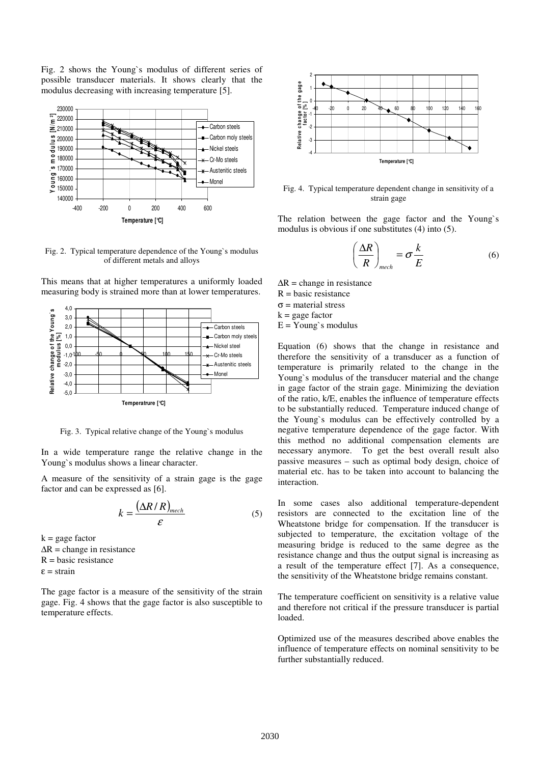Fig. 2 shows the Young`s modulus of different series of possible transducer materials. It shows clearly that the modulus decreasing with increasing temperature [5].



Fig. 2. Typical temperature dependence of the Young`s modulus of different metals and alloys





Fig. 3. Typical relative change of the Young`s modulus

In a wide temperature range the relative change in the Young`s modulus shows a linear character.

A measure of the sensitivity of a strain gage is the gage factor and can be expressed as [6].

$$
k = \frac{\left(\Delta R/R\right)_{mech}}{\varepsilon} \tag{5}
$$

 $k =$  gage factor  $\Delta R$  = change in resistance  $R = basic resistance$  $\epsilon$  = strain

The gage factor is a measure of the sensitivity of the strain gage. Fig. 4 shows that the gage factor is also susceptible to temperature effects.



Fig. 4. Typical temperature dependent change in sensitivity of a strain gage

The relation between the gage factor and the Young`s modulus is obvious if one substitutes (4) into (5).

$$
\left(\frac{\Delta R}{R}\right)_{mech} = \sigma \frac{k}{E}
$$
 (6)

 $\Delta R$  = change in resistance  $R = basic resistance$ 

σ = material stress

 $k =$  gage factor

 $E = Young's$  modulus

Equation (6) shows that the change in resistance and therefore the sensitivity of a transducer as a function of temperature is primarily related to the change in the Young`s modulus of the transducer material and the change in gage factor of the strain gage. Minimizing the deviation of the ratio, k/E, enables the influence of temperature effects to be substantially reduced. Temperature induced change of the Young`s modulus can be effectively controlled by a negative temperature dependence of the gage factor. With this method no additional compensation elements are necessary anymore. To get the best overall result also passive measures – such as optimal body design, choice of material etc. has to be taken into account to balancing the interaction.

In some cases also additional temperature-dependent resistors are connected to the excitation line of the Wheatstone bridge for compensation. If the transducer is subjected to temperature, the excitation voltage of the measuring bridge is reduced to the same degree as the resistance change and thus the output signal is increasing as a result of the temperature effect [7]. As a consequence, the sensitivity of the Wheatstone bridge remains constant.

The temperature coefficient on sensitivity is a relative value and therefore not critical if the pressure transducer is partial loaded.

Optimized use of the measures described above enables the influence of temperature effects on nominal sensitivity to be further substantially reduced.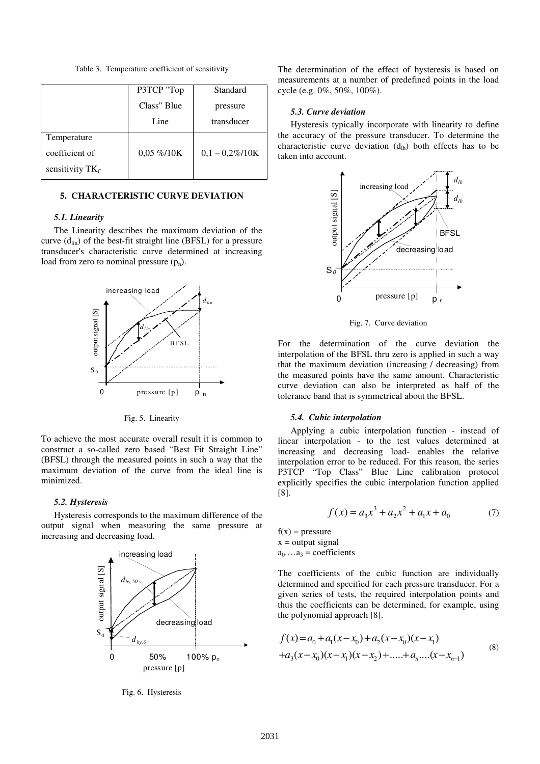Table 3. Temperature coefficient of sensitivity

|                    | P3TCP "Top     | Standard          |
|--------------------|----------------|-------------------|
|                    | Class" Blue    | pressure          |
|                    | Line           | transducer        |
| Temperature        |                |                   |
| coefficient of     | $0.05\% / 10K$ | $0,1 - 0,2\%/10K$ |
| sensitivity $TK_C$ |                |                   |

### **5. CHARACTERISTIC CURVE DEVIATION**

#### *5.1. Linearity*

The Linearity describes the maximum deviation of the curve  $(d_{lin})$  of the best-fit straight line (BFSL) for a pressure transducer's characteristic curve determined at increasing load from zero to nominal pressure  $(p_n)$ .



Fig. 5. Linearity

To achieve the most accurate overall result it is common to construct a so-called zero based "Best Fit Straight Line" (BFSL) through the measured points in such a way that the maximum deviation of the curve from the ideal line is minimized.

### *5.2. Hysteresis*

Hysteresis corresponds to the maximum difference of the output signal when measuring the same pressure at increasing and decreasing load.



Fig. 6. Hysteresis

The determination of the effect of hysteresis is based on measurements at a number of predefined points in the load cycle (e.g. 0%, 50%, 100%).

### *5.3. Curve deviation*

Hysteresis typically incorporate with linearity to define the accuracy of the pressure transducer. To determine the characteristic curve deviation  $(d<sub>lh</sub>)$  both effects has to be taken into account.



Fig. 7. Curve deviation

For the determination of the curve deviation the interpolation of the BFSL thru zero is applied in such a way that the maximum deviation (increasing / decreasing) from the measured points have the same amount. Characteristic curve deviation can also be interpreted as half of the tolerance band that is symmetrical about the BFSL.

### *5.4. Cubic interpolation*

Applying a cubic interpolation function - instead of linear interpolation - to the test values determined at increasing and decreasing load- enables the relative interpolation error to be reduced. For this reason, the series P3TCP "Top Class" Blue Line calibration protocol explicitly specifies the cubic interpolation function applied [8].

$$
f(x) = a_3 x^3 + a_2 x^2 + a_1 x + a_0 \tag{7}
$$

 $f(x) = pressure$  $x =$  output signal  $a_0 \dots a_3$  = coefficients

The coefficients of the cubic function are individually determined and specified for each pressure transducer. For a given series of tests, the required interpolation points and thus the coefficients can be determined, for example, using the polynomial approach [8].

$$
f(x) = a_0 + a_1(x - x_0) + a_2(x - x_0)(x - x_1)
$$
  
+
$$
a_3(x - x_0)(x - x_1)(x - x_2) + \dots + a_n \dots (x - x_{n-1})
$$
 (8)